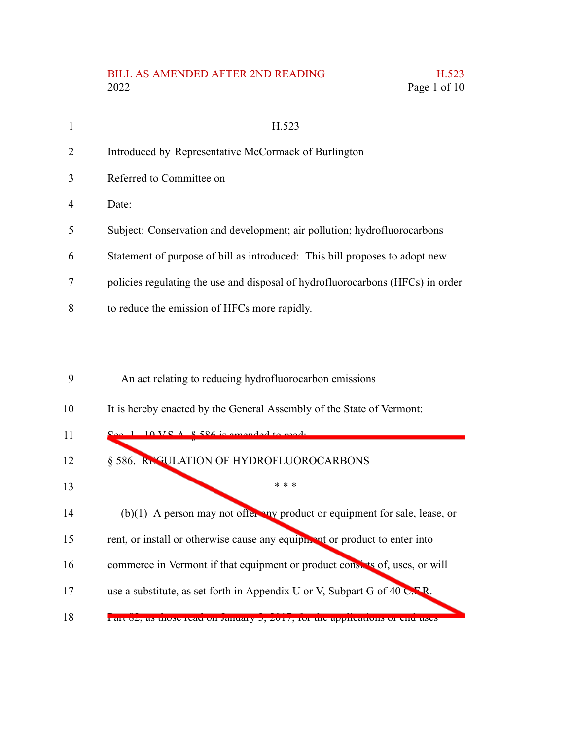## BILL AS AMENDED AFTER 2ND READING H.523 2022 Page 1 of 10

| 1  | H.523                                                                          |
|----|--------------------------------------------------------------------------------|
| 2  | Introduced by Representative McCormack of Burlington                           |
| 3  | Referred to Committee on                                                       |
| 4  | Date:                                                                          |
| 5  | Subject: Conservation and development; air pollution; hydrofluorocarbons       |
| 6  | Statement of purpose of bill as introduced: This bill proposes to adopt new    |
| 7  | policies regulating the use and disposal of hydrofluorocarbons (HFCs) in order |
| 8  | to reduce the emission of HFCs more rapidly.                                   |
|    |                                                                                |
|    |                                                                                |
| 9  | An act relating to reducing hydrofluorocarbon emissions                        |
| 10 | It is hereby enacted by the General Assembly of the State of Vermont:          |
| 11 | $S_{\alpha\alpha}$ 1 10 V $S$ $\wedge$ $\&$ 526 is amonded to read.            |
| 12 | § 586. REGULATION OF HYDROFLUOROCARBONS                                        |
| 13 | * * *                                                                          |

(b)(1) A person may not offer any product or equipment for sale, lease, or 14

rent, or install or otherwise cause any equipment or product to enter into 15

commerce in Vermont if that equipment or product consists of, uses, or will 16

use a substitute, as set forth in Appendix U or V, Subpart G of 40 C.F.R. 17

Part 82, as those read on January 3, 2017, for the applications or end uses 18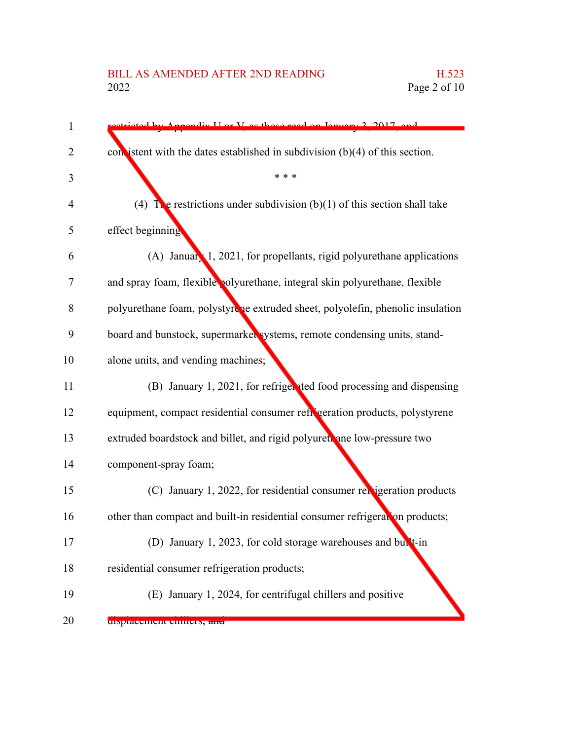## BILL AS AMENDED AFTER 2ND READING H.523<br>2022 Page 2 of 10

| $\mathbf{1}$ | mendix I or V as those read on January 2, 2017, and                            |
|--------------|--------------------------------------------------------------------------------|
| 2            | con istent with the dates established in subdivision $(b)(4)$ of this section. |
| 3            | * * *                                                                          |
| 4            | (4) The restrictions under subdivision (b)(1) of this section shall take       |
| 5            | effect beginning                                                               |
| 6            | $(A)$ January 1, 2021, for propellants, rigid polyurethane applications        |
| 7            | and spray foam, flexible polyurethane, integral skin polyurethane, flexible    |
| 8            | polyurethane foam, polystyrche extruded sheet, polyolefin, phenolic insulation |
| 9            | board and bunstock, supermarket systems, remote condensing units, stand-       |
| 10           | alone units, and vending machines;                                             |
| 11           | (B) January 1, 2021, for refriger ted food processing and dispensing           |
| 12           | equipment, compact residential consumer refigeration products, polystyrene     |
| 13           | extruded boardstock and billet, and rigid polyuret ane low-pressure two        |
| 14           | component-spray foam;                                                          |
| 15           | (C) January 1, 2022, for residential consumer relatigeration products          |
| 16           | other than compact and built-in residential consumer refrigeration products;   |
| 17           | (D) January 1, 2023, for cold storage warehouses and built-in                  |
| 18           | residential consumer refrigeration products;                                   |
| 19           | (E) January 1, 2024, for centrifugal chillers and positive                     |
| 20           | uspracement current, and                                                       |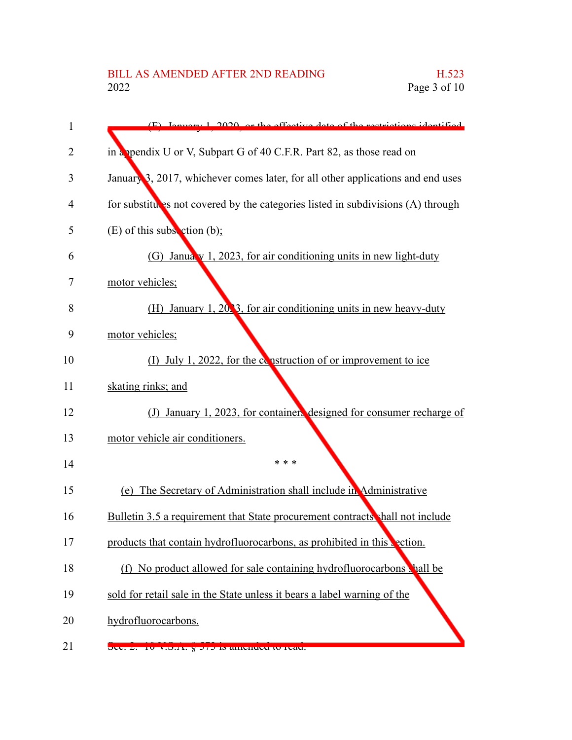| 1  | $(F)$ Ignuary 1, 2020, or the effective data of the restrictions identified      |
|----|----------------------------------------------------------------------------------|
| 2  | in a ppendix U or V, Subpart G of 40 C.F.R. Part 82, as those read on            |
| 3  | January 3, 2017, whichever comes later, for all other applications and end uses  |
| 4  | for substitutes not covered by the categories listed in subdivisions (A) through |
| 5  | $(E)$ of this subsection $(b)$ ;                                                 |
| 6  | (G) January 1, 2023, for air conditioning units in new light-duty                |
| 7  | motor vehicles;                                                                  |
| 8  | (H) January 1, 2023, for air conditioning units in new heavy-duty                |
| 9  | motor vehicles;                                                                  |
| 10 | (I) July 1, 2022, for the construction of or improvement to ice                  |
| 11 | skating rinks; and                                                               |
| 12 | January 1, 2023, for containers designed for consumer recharge of<br>(J)         |
| 13 | motor vehicle air conditioners.                                                  |
| 14 | * * *                                                                            |
| 15 | The Secretary of Administration shall include in Administrative<br>(e)           |
| 16 | Bulletin 3.5 a requirement that State procurement contracts shall not include    |
| 17 | products that contain hydrofluorocarbons, as prohibited in this                  |
| 18 | (f) No product allowed for sale containing hydrofluorocarbons shall be           |
| 19 | sold for retail sale in the State unless it bears a label warning of the         |
| 20 | hydrofluorocarbons.                                                              |
| 21 | Sec. 2. 10 v. S. A. y 373 IS amended to read.                                    |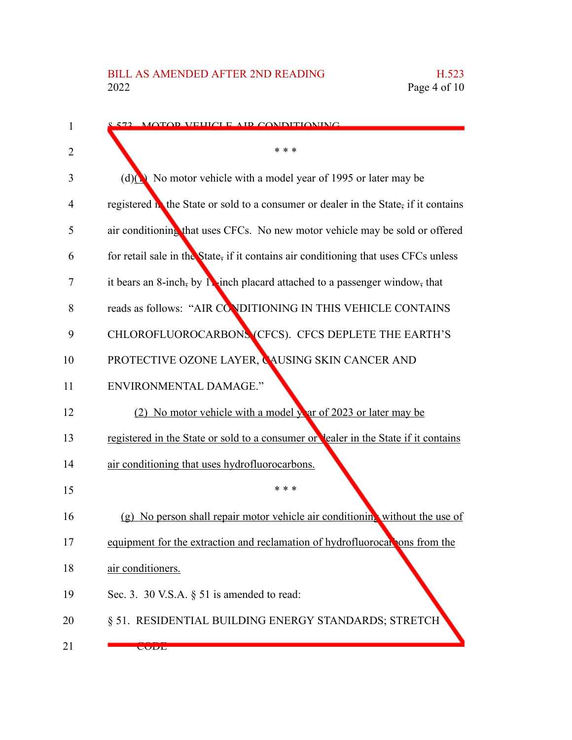| 1  | 572 MOTOR VEHICLE AIR CONDITIONING                                                   |
|----|--------------------------------------------------------------------------------------|
| 2  | * * *                                                                                |
| 3  | (d) $\big(\infty\big)$ No motor vehicle with a model year of 1995 or later may be    |
| 4  | registered in the State or sold to a consumer or dealer in the State, if it contains |
| 5  | air conditioning that uses CFCs. No new motor vehicle may be sold or offered         |
| 6  | for retail sale in the State, if it contains air conditioning that uses CFCs unless  |
| 7  | it bears an 8-inch, by 11-inch placard attached to a passenger window, that          |
| 8  | reads as follows: "AIR CONDITIONING IN THIS VEHICLE CONTAINS                         |
| 9  | CHLOROFLUOROCARBONS (CFCS). CFCS DEPLETE THE EARTH'S                                 |
| 10 | PROTECTIVE OZONE LAYER, CAUSING SKIN CANCER AND                                      |
| 11 | <b>ENVIRONMENTAL DAMAGE."</b>                                                        |
| 12 | (2) No motor vehicle with a model year of 2023 or later may be                       |
| 13 | registered in the State or sold to a consumer or lealer in the State if it contains  |
| 14 | air conditioning that uses hydrofluorocarbons.                                       |
| 15 | * * *                                                                                |
| 16 | (g) No person shall repair motor vehicle air conditioning without the use of         |
| 17 | equipment for the extraction and reclamation of hydrofluorocal ons from the          |
| 18 | air conditioners.                                                                    |
| 19 | Sec. 3. 30 V.S.A. $\S$ 51 is amended to read:                                        |
| 20 | § 51. RESIDENTIAL BUILDING ENERGY STANDARDS; STRETCH                                 |
| 21 | <b>CODE</b>                                                                          |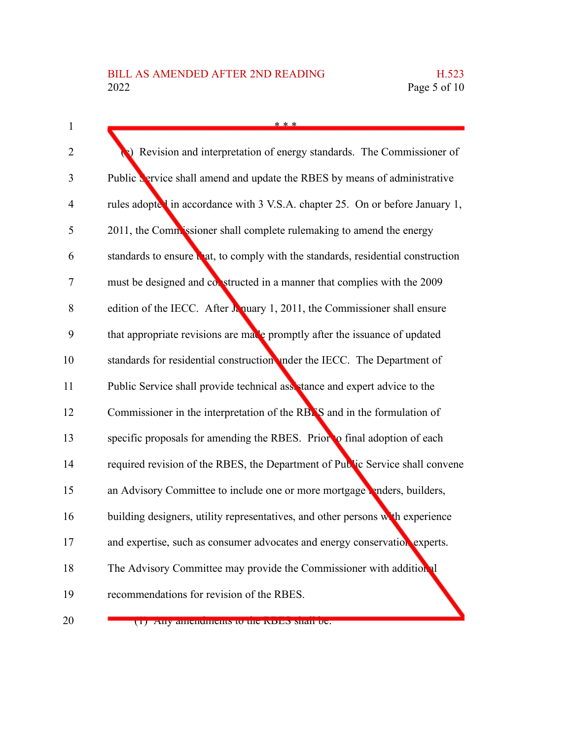| $\mathbf{1}$   | * * *                                                                             |
|----------------|-----------------------------------------------------------------------------------|
| $\overline{2}$ | Revision and interpretation of energy standards. The Commissioner of              |
| 3              | Public <b>S</b> ervice shall amend and update the RBES by means of administrative |
| $\overline{4}$ | rules adopted in accordance with 3 V.S.A. chapter 25. On or before January 1,     |
| 5              | 2011, the Commissioner shall complete rulemaking to amend the energy              |
| 6              | standards to ensure that, to comply with the standards, residential construction  |
| 7              | must be designed and constructed in a manner that complies with the 2009          |
| 8              | edition of the IECC. After $\lambda$ nuary 1, 2011, the Commissioner shall ensure |
| 9              | that appropriate revisions are made promptly after the issuance of updated        |
| 10             | standards for residential construction under the IECC. The Department of          |
| 11             | Public Service shall provide technical assetance and expert advice to the         |
| 12             | Commissioner in the interpretation of the RBNS and in the formulation of          |
| 13             | specific proposals for amending the RBES. Prior to final adoption of each         |
| 14             | required revision of the RBES, the Department of Public Service shall convene     |
| 15             | an Advisory Committee to include one or more mortgage renders, builders,          |
| 16             | building designers, utility representatives, and other persons with experience    |
| 17             | and expertise, such as consumer advocates and energy conservation experts.        |
| 18             | The Advisory Committee may provide the Commissioner with additional               |
| 19             | recommendations for revision of the RBES.                                         |
| 20             | (1) Any amendments to the KDES shan be.                                           |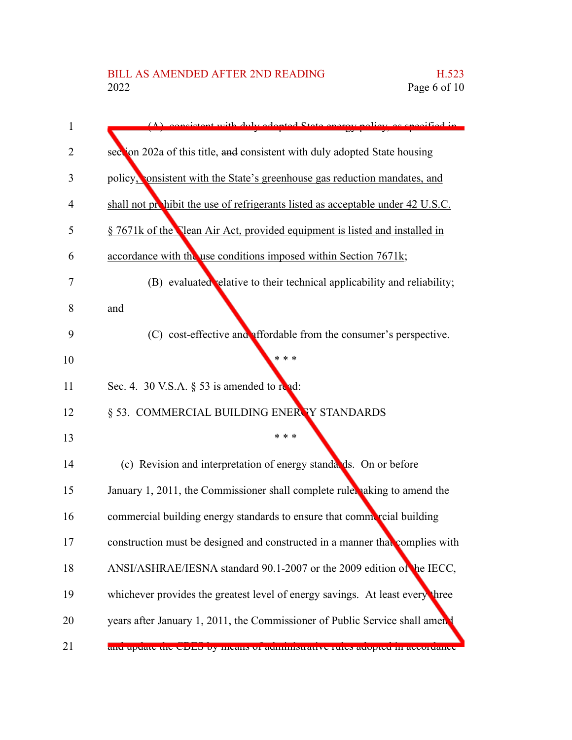| 1  | consistent with duly adopted State energy policy as specified in                  |
|----|-----------------------------------------------------------------------------------|
| 2  | section 202a of this title, and consistent with duly adopted State housing        |
| 3  | policy, consistent with the State's greenhouse gas reduction mandates, and        |
| 4  | shall not prohibit the use of refrigerants listed as acceptable under 42 U.S.C.   |
| 5  | § 7671k of the <b>Nean Air Act, provided equipment is listed and installed in</b> |
| 6  | accordance with the use conditions imposed within Section 7671k;                  |
| 7  | (B) evaluated relative to their technical applicability and reliability;          |
| 8  | and                                                                               |
| 9  | (C) cost-effective and affordable from the consumer's perspective.                |
| 10 | * * *                                                                             |
| 11 | Sec. 4. 30 V.S.A. $\S$ 53 is amended to read:                                     |
| 12 | § 53. COMMERCIAL BUILDING ENERTY STANDARDS                                        |
| 13 | * * *                                                                             |
| 14 | (c) Revision and interpretation of energy standards. On or before                 |
| 15 | January 1, 2011, the Commissioner shall complete rules aking to amend the         |
| 16 | commercial building energy standards to ensure that commercial building           |
| 17 | construction must be designed and constructed in a manner that complies with      |
| 18 | ANSI/ASHRAE/IESNA standard 90.1-2007 or the 2009 edition of the IECC,             |
| 19 | whichever provides the greatest level of energy savings. At least every three     |
| 20 | years after January 1, 2011, the Commissioner of Public Service shall amen.       |
| 21 | and update the CDLS by means or administrative rules adopted in accordance        |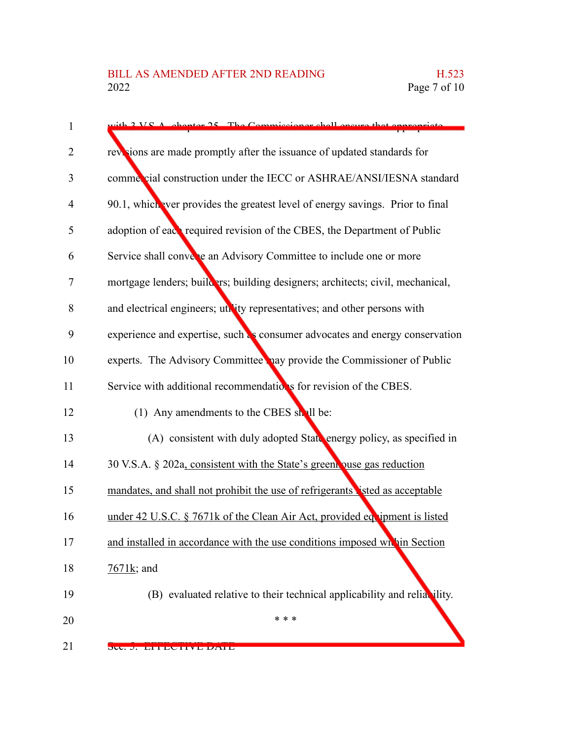| $\mathbf{1}$   | $\frac{1}{2}$ VS A chapter 25. The Commissioner shall ensure that engrapriate  |
|----------------|--------------------------------------------------------------------------------|
| 2              | revisions are made promptly after the issuance of updated standards for        |
| 3              | commercial construction under the IECC or ASHRAE/ANSI/IESNA standard           |
| $\overline{4}$ | 90.1, which ever provides the greatest level of energy savings. Prior to final |
| 5              | adoption of each required revision of the CBES, the Department of Public       |
| 6              | Service shall converte an Advisory Committee to include one or more            |
| $\tau$         | mortgage lenders; builders; building designers; architects; civil, mechanical, |
| 8              | and electrical engineers; utility representatives; and other persons with      |
| 9              | experience and expertise, such as consumer advocates and energy conservation   |
| 10             | experts. The Advisory Committee hay provide the Commissioner of Public         |
| 11             | Service with additional recommendations for revision of the CBES.              |
| 12             | (1) Any amendments to the CBES shall be:                                       |
| 13             | (A) consistent with duly adopted State energy policy, as specified in          |
| 14             | 30 V.S.A. § 202a, consistent with the State's greent puse gas reduction        |
| 15             | mandates, and shall not prohibit the use of refrigerants isted as acceptable   |
| 16             | under 42 U.S.C. § 7671k of the Clean Air Act, provided equipment is listed     |
| 17             | and installed in accordance with the use conditions imposed whin Section       |
| 18             | $7671k$ ; and                                                                  |
| 19             | (B) evaluated relative to their technical applicability and reliability.       |
| 20             | * * *                                                                          |
| 21             | DU. J. EITEUIIVE DAIE                                                          |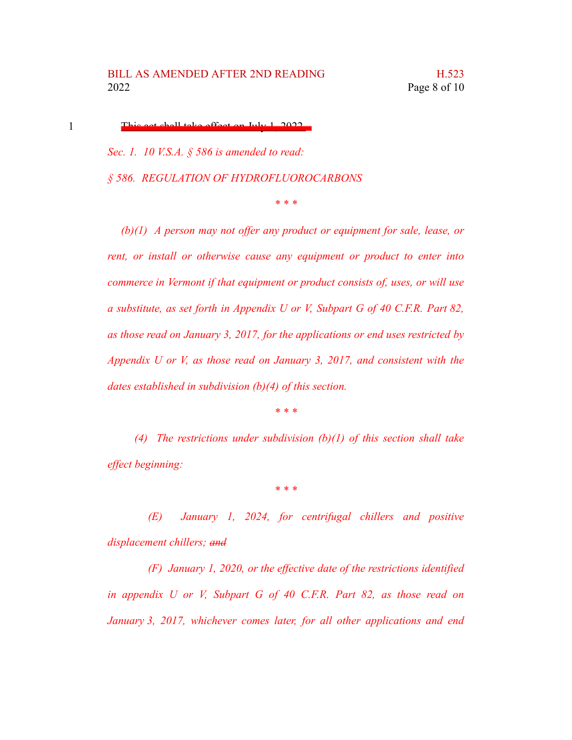This act shall take effect on July 1, 2022.

1

*Sec. 1. 10 V.S.A. § 586 is amended to read: § 586. REGULATION OF HYDROFLUOROCARBONS*

*\* \* \**

*(b)(1) A person may not offer any product or equipment for sale, lease, or rent, or install or otherwise cause any equipment or product to enter into commerce in Vermont if that equipment or product consists of, uses, or will use a substitute, as set forth in Appendix U or V, Subpart G of 40 C.F.R. Part 82, as those read on January 3, 2017, for the applications or end uses restricted by Appendix U or V, as those read on January 3, 2017, and consistent with the dates established in subdivision (b)(4) of this section.*

*\* \* \**

*(4) The restrictions under subdivision (b)(1) of this section shall take effect beginning:*

*\* \* \**

*(E) January 1, 2024, for centrifugal chillers and positive displacement chillers; and*

*(F) January 1, 2020, or the effective date of the restrictions identified in appendix U or V, Subpart G of 40 C.F.R. Part 82, as those read on January 3, 2017, whichever comes later, for all other applications and end*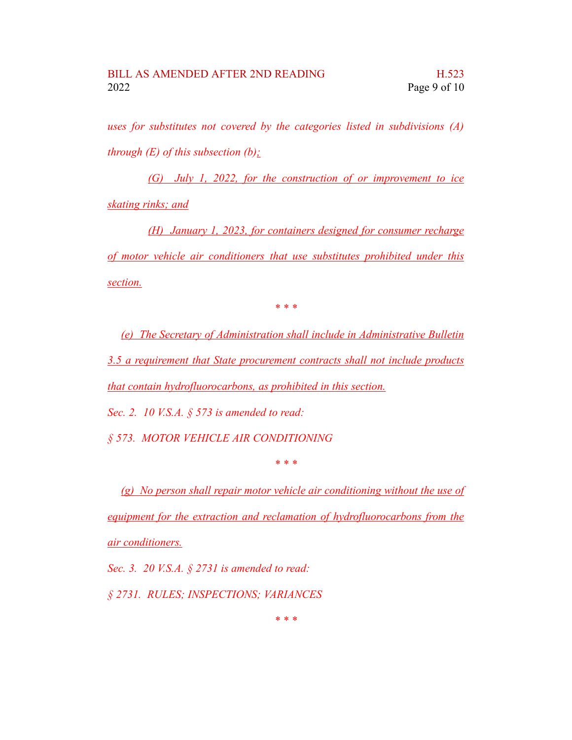*uses for substitutes not covered by the categories listed in subdivisions (A) through (E) of this subsection (b);*

*(G) July 1, 2022, for the construction of or improvement to ice skating rinks; and*

*(H) January 1, 2023, for containers designed for consumer recharge of motor vehicle air conditioners that use substitutes prohibited under this section.*

*\* \* \**

*(e) The Secretary of Administration shall include in Administrative Bulletin 3.5 a requirement that State procurement contracts shall not include products that contain hydrofluorocarbons, as prohibited in this section.*

*Sec. 2. 10 V.S.A. § 573 is amended to read:*

*§ 573. MOTOR VEHICLE AIR CONDITIONING*

*\* \* \**

*(g) No person shall repair motor vehicle air conditioning without the use of equipment for the extraction and reclamation of hydrofluorocarbons from the air conditioners.*

*Sec. 3. 20 V.S.A. § 2731 is amended to read: § 2731. RULES; INSPECTIONS; VARIANCES*

*\* \* \**